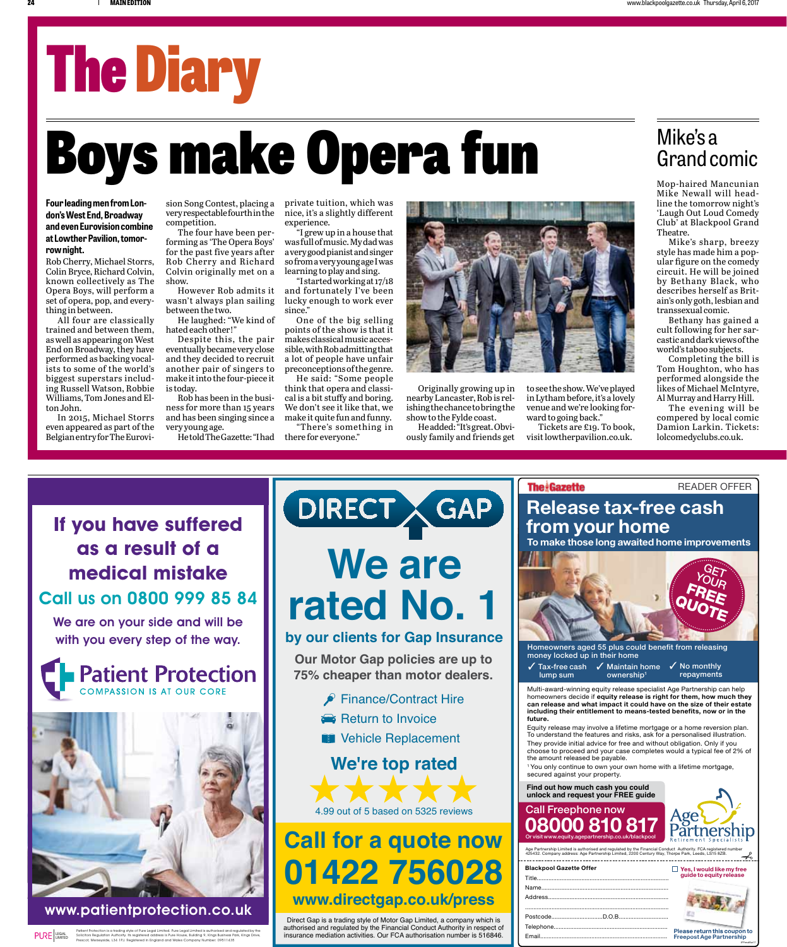# The Diary

## Boys make Opera fun Mike's a Mike's a Mike's a Mike's a Mike's a

#### **Four leading men from London's West End, Broadway and even Eurovision combine at Lowther Pavilion, tomorrow night.**

Rob Cherry, Michael Storrs, Colin Bryce, Richard Colvin, known collectively as The Opera Boys, will perform a set of opera, pop, and everything in between.

All four are classically trained and between them, as well as appearing on West End on Broadway, they have performed as backing vocalists to some of the world's biggest superstars including Russell Watson, Robbie Williams, Tom Jones and Elton John.

In 2015, Michael Storrs even appeared as part of the Belgian entry for The Eurovi-

sion Song Contest, placing a very respectable fourth in the competition.

The four have been performing as 'The Opera Boys' for the past five years after Rob Cherry and Richard Colvin originally met on a show.

However Rob admits it wasn't always plan sailing between the two.

He laughed: "We kind of hated each other!"

Despite this, the pair eventually became very close and they decided to recruit another pair of singers to make it into the four-piece it is today.

Rob has been in the business for more than 15 years and has been singing since a very young age.

He told The Gazette: "I had

private tuition, which was nice, it's a slightly different experience.

"I grew up in a house that was full of music. My dad was a very good pianist and singer so from a very young age I was learning to play and sing.

"I started working at 17/18 and fortunately I've been lucky enough to work ever since."

One of the big selling points of the show is that it makes classical music accessible, with Rob admitting that a lot of people have unfair preconceptions of the genre.

He said: "Some people think that opera and classical is a bit stuffy and boring. We don't see it like that, we make it quite fun and funny.

"There's something in there for everyone."



Originally growing up in nearby Lancaster, Rob is relishing the chance to bring the show to the Fylde coast.

He added: "It's great. Obviously family and friends get

to see the show. We've played in Lytham before, it's a lovely venue and we're looking forward to going back."

Tickets are £19. To book, visit lowtherpavilion.co.uk.

#### Mike's a Grand comic

Mike Newall will headline the tomorrow night's 'Laugh Out Loud Comedy Club' at Blackpool Grand Theatre.

Mike's sharp, breezy style has made him a popular figure on the comedy circuit. He will be joined by Bethany Black, who describes herself as Britain's only goth, lesbian and transsexual comic.

Bethany has gained a cult following for her sarcastic and dark views of the world's taboo subjects.

Completing the bill is Tom Houghton, who has performed alongside the likes of Michael McIntyre, Al Murray and Harry Hill.

The evening will be compered by local comic Damion Larkin. Tickets: lolcomedyclubs.co.uk.

**as a result of a medical mistake** Call us on 0800 999 85 84

We are on your side and will be with you every step of the way.





www.patientprotection.co.uk

Patient Protection is a trading style of Pure Legal Limited. Pure Legal Limited is authorised and regulated by the Solicitors Regulation Authority. Its registered address is Pure House, Building 9, Kings Business Park, Kings Drive, Prescot, Merseyside, L34 1PJ. Registered in England and Wales Company Number: 09511435 LIMITED PURE LEGAL

### **We are rated No. 1 If you have suffered THE DIRECT & GAP**



**Our Motor Gap policies are up to 75% cheaper than motor dealers.**

- Finance/Contract Hire
- Return to Invoice
- **Vehicle Replacement**

#### **We're top rated**



### **Call for a quote now 01422 756028 www.directgap.co.uk/press**

Direct Gap is a trading style of Motor Gap Limited, a company which is authorised and regulated by the Financial Conduct Authority in respect of insurance mediation activities. Our FCA authorisation number is 516846.